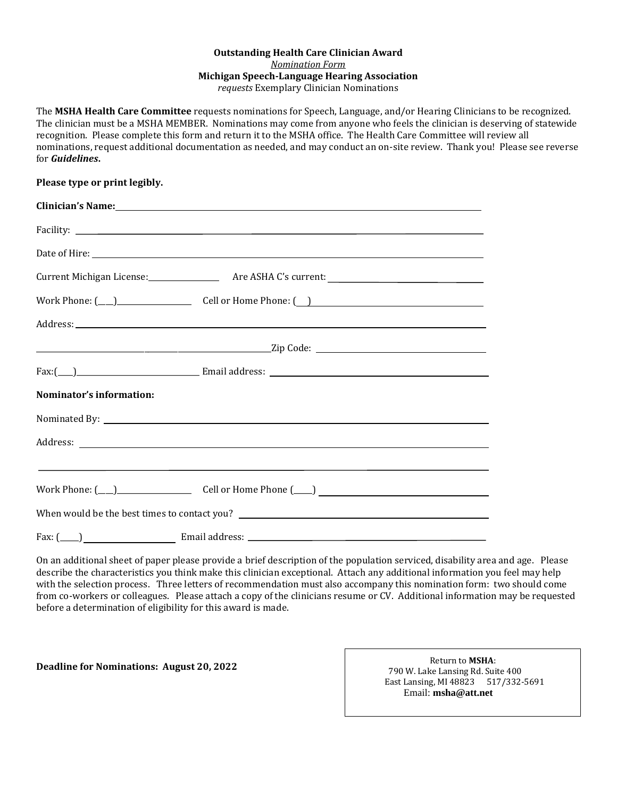## **Outstanding Health Care Clinician Award**  *Nomination Form* **Michigan Speech-Language Hearing Association** *requests* Exemplary Clinician Nominations

The **MSHA Health Care Committee** requests nominations for Speech, Language, and/or Hearing Clinicians to be recognized. The clinician must be a MSHA MEMBER. Nominations may come from anyone who feels the clinician is deserving of statewide recognition. Please complete this form and return it to the MSHA office. The Health Care Committee will review all nominations, request additional documentation as needed, and may conduct an on-site review. Thank you! Please see reverse for *Guidelines***.**

## **Please type or print legibly.**

|                           | Clinician's Name: 1988 and 1989 and 1989 and 1989 and 1989 and 1989 and 1989 and 1989 and 1989 and 1989 and 19                                                                                                                |  |
|---------------------------|-------------------------------------------------------------------------------------------------------------------------------------------------------------------------------------------------------------------------------|--|
|                           | Facility: The contract of the contract of the contract of the contract of the contract of the contract of the contract of the contract of the contract of the contract of the contract of the contract of the contract of the |  |
|                           |                                                                                                                                                                                                                               |  |
|                           |                                                                                                                                                                                                                               |  |
|                           | $\text{Work Phone:} \text{(}\_\_\_\_\_\_$                                                                                                                                                                                     |  |
|                           |                                                                                                                                                                                                                               |  |
|                           |                                                                                                                                                                                                                               |  |
|                           |                                                                                                                                                                                                                               |  |
| Nominator's information:  |                                                                                                                                                                                                                               |  |
|                           |                                                                                                                                                                                                                               |  |
|                           |                                                                                                                                                                                                                               |  |
|                           | <u> 1990 - Jan Barbara de Santo de Santo de Santo de Santo de Santo de Santo de Santo de Santo de Santo de Santo </u>                                                                                                         |  |
|                           |                                                                                                                                                                                                                               |  |
| $\text{Fax: } (\_\_\_\_)$ |                                                                                                                                                                                                                               |  |

On an additional sheet of paper please provide a brief description of the population serviced, disability area and age. Please describe the characteristics you think make this clinician exceptional. Attach any additional information you feel may help with the selection process. Three letters of recommendation must also accompany this nomination form: two should come from co-workers or colleagues. Please attach a copy of the clinicians resume or CV. Additional information may be requested before a determination of eligibility for this award is made.

**Deadline for Nominations: August 20, 2022**

 Return to **MSHA**: 790 W. Lake Lansing Rd. Suite 400 East Lansing, MI 48823 517/332-5691 Email: **msha@att.net**